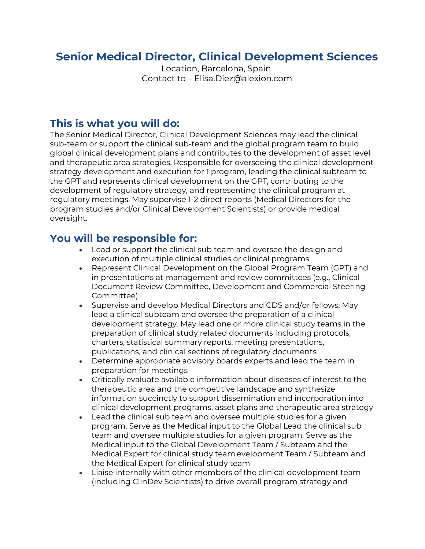## **Senior Medical Director, Clinical Development Sciences**

Location, Barcelona, Spain. Contact to – Elisa.Diez@alexion.com

### **This is what you will do:**

The Senior Medical Director, Clinical Development Sciences may lead the clinical sub-team or support the clinical sub-team and the global program team to build global clinical development plans and contributes to the development of asset level and therapeutic area strategies. Responsible for overseeing the clinical development strategy development and execution for 1 program, leading the clinical subteam to the GPT and represents clinical development on the GPT, contributing to the development of regulatory strategy, and representing the clinical program at regulatory meetings. May supervise 1-2 direct reports (Medical Directors for the program studies and/or Clinical Development Scientists) or provide medical oversight.

### **You will be responsible for:**

- Lead or support the clinical sub team and oversee the design and execution of multiple clinical studies or clinical programs
- Represent Clinical Development on the Global Program Team (GPT) and in presentations at management and review committees (e.g., Clinical Document Review Committee, Development and Commercial Steering Committee)
- Supervise and develop Medical Directors and CDS and/or fellows; May lead a clinical subteam and oversee the preparation of a clinical development strategy. May lead one or more clinical study teams in the preparation of clinical study related documents including protocols, charters, statistical summary reports, meeting presentations, publications, and clinical sections of regulatory documents
- Determine appropriate advisory boards experts and lead the team in preparation for meetings
- Critically evaluate available information about diseases of interest to the therapeutic area and the competitive landscape and synthesize information succinctly to support dissemination and incorporation into clinical development programs, asset plans and therapeutic area strategy
- Lead the clinical sub team and oversee multiple studies for a given program. Serve as the Medical input to the Global Lead the clinical sub team and oversee multiple studies for a given program. Serve as the Medical input to the Global Development Team / Subteam and the Medical Expert for clinical study team.evelopment Team / Subteam and the Medical Expert for clinical study team
- Liaise internally with other members of the clinical development team (including ClinDev Scientists) to drive overall program strategy and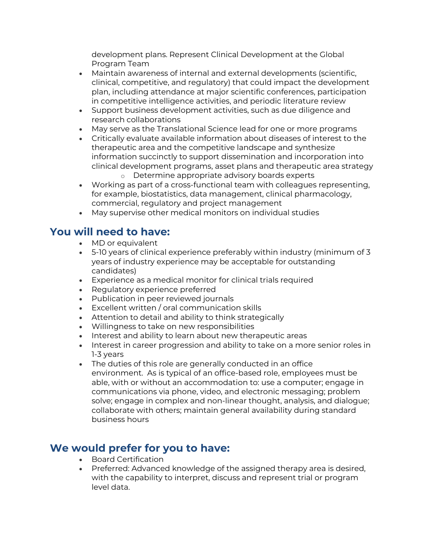development plans. Represent Clinical Development at the Global Program Team

- Maintain awareness of internal and external developments (scientific, clinical, competitive, and regulatory) that could impact the development plan, including attendance at major scientific conferences, participation in competitive intelligence activities, and periodic literature review
- Support business development activities, such as due diligence and research collaborations
- May serve as the Translational Science lead for one or more programs
- Critically evaluate available information about diseases of interest to the therapeutic area and the competitive landscape and synthesize information succinctly to support dissemination and incorporation into clinical development programs, asset plans and therapeutic area strategy
	- o Determine appropriate advisory boards experts
- Working as part of a cross-functional team with colleagues representing, for example, biostatistics, data management, clinical pharmacology, commercial, regulatory and project management
- May supervise other medical monitors on individual studies

### **You will need to have:**

- MD or equivalent
- 5-10 years of clinical experience preferably within industry (minimum of 3 years of industry experience may be acceptable for outstanding candidates)
- Experience as a medical monitor for clinical trials required
- Regulatory experience preferred
- Publication in peer reviewed journals
- Excellent written / oral communication skills
- Attention to detail and ability to think strategically
- Willingness to take on new responsibilities
- Interest and ability to learn about new therapeutic areas
- Interest in career progression and ability to take on a more senior roles in 1-3 years
- The duties of this role are generally conducted in an office environment. As is typical of an office-based role, employees must be able, with or without an accommodation to: use a computer; engage in communications via phone, video, and electronic messaging; problem solve; engage in complex and non-linear thought, analysis, and dialogue; collaborate with others; maintain general availability during standard business hours

# **We would prefer for you to have:**

- Board Certification
- Preferred: Advanced knowledge of the assigned therapy area is desired, with the capability to interpret, discuss and represent trial or program level data.